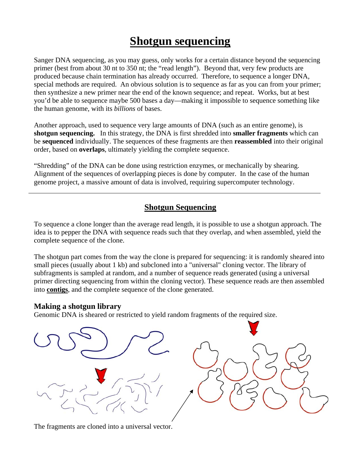# **Shotgun sequencing**

Sanger DNA sequencing, as you may guess, only works for a certain distance beyond the sequencing primer (best from about 30 nt to 350 nt; the "read length"). Beyond that, very few products are produced because chain termination has already occurred. Therefore, to sequence a longer DNA, special methods are required. An obvious solution is to sequence as far as you can from your primer; then synthesize a new primer near the end of the known sequence; and repeat. Works, but at best you'd be able to sequence maybe 500 bases a day—making it impossible to sequence something like the human genome, with its *billions* of bases.

Another approach, used to sequence very large amounts of DNA (such as an entire genome), is **shotgun sequencing.** In this strategy, the DNA is first shredded into **smaller fragments** which can be **sequenced** individually. The sequences of these fragments are then **reassembled** into their original order, based on **overlaps**, ultimately yielding the complete sequence.

"Shredding" of the DNA can be done using restriction enzymes, or mechanically by shearing. Alignment of the sequences of overlapping pieces is done by computer. In the case of the human genome project, a massive amount of data is involved, requiring supercomputer technology.

### **Shotgun Sequencing**

To sequence a clone longer than the average read length, it is possible to use a shotgun approach. The idea is to pepper the DNA with sequence reads such that they overlap, and when assembled, yield the complete sequence of the clone.

The shotgun part comes from the way the clone is prepared for sequencing: it is randomly sheared into small pieces (usually about 1 kb) and subcloned into a "universal" cloning vector. The library of subfragments is sampled at random, and a number of sequence reads generated (using a universal primer directing sequencing from within the cloning vector). These sequence reads are then assembled into **contigs**, and the complete sequence of the clone generated.

#### **Making a shotgun library**

Genomic DNA is sheared or restricted to yield random fragments of the required size.



The fragments are cloned into a universal vector.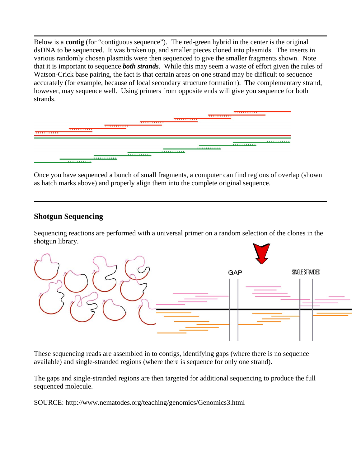Below is a **contig** (for "contiguous sequence"). The red-green hybrid in the center is the original dsDNA to be sequenced. It was broken up, and smaller pieces cloned into plasmids. The inserts in various randomly chosen plasmids were then sequenced to give the smaller fragments shown. Note that it is important to sequence *both strands*. While this may seem a waste of effort given the rules of Watson-Crick base pairing, the fact is that certain areas on one strand may be difficult to sequence accurately (for example, because of local secondary structure formation). The complementary strand, however, may sequence well. Using primers from opposite ends will give you sequence for both strands.

| .                                 | .        | ----------- | <u>.</u> | ------------ | <b>TITLEFIELD</b> |          |
|-----------------------------------|----------|-------------|----------|--------------|-------------------|----------|
| <b><i><u>ALLER LEILER</u></i></b> | <u>.</u> | <u>.</u>    | <u>.</u> | <b>.</b>     | .                 | <u>.</u> |

Once you have sequenced a bunch of small fragments, a computer can find regions of overlap (shown as hatch marks above) and properly align them into the complete original sequence.

#### **Shotgun Sequencing**

Sequencing reactions are performed with a universal primer on a random selection of the clones in the shotgun library.



These sequencing reads are assembled in to contigs, identifying gaps (where there is no sequence available) and single-stranded regions (where there is sequence for only one strand).

The gaps and single-stranded regions are then targeted for additional sequencing to produce the full sequenced molecule.

SOURCE: http://www.nematodes.org/teaching/genomics/Genomics3.html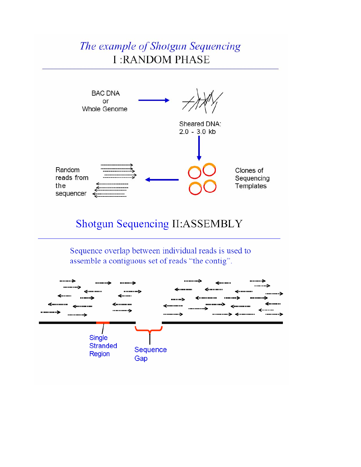## The example of Shotgun Sequencing **I:RANDOM PHASE**



### Shotgun Sequencing II:ASSEMBLY

Sequence overlap between individual reads is used to assemble a contiguous set of reads "the contig".